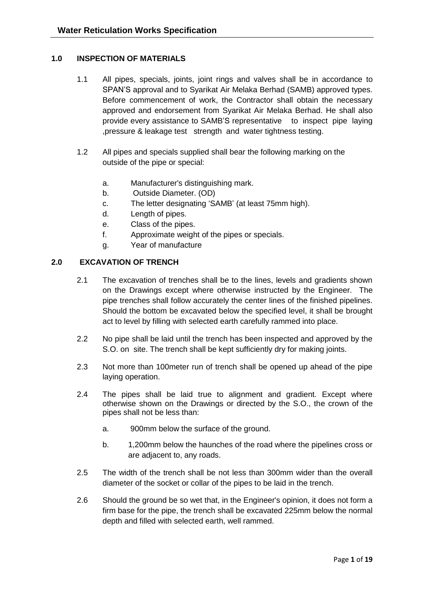# **1.0 INSPECTION OF MATERIALS**

- 1.1 All pipes, specials, joints, joint rings and valves shall be in accordance to SPAN'S approval and to Syarikat Air Melaka Berhad (SAMB) approved types. Before commencement of work, the Contractor shall obtain the necessary approved and endorsement from Syarikat Air Melaka Berhad. He shall also provide every assistance to SAMB'S representative to inspect pipe laying ,pressure & leakage test strength and water tightness testing.
- 1.2 All pipes and specials supplied shall bear the following marking on the outside of the pipe or special:
	- a. Manufacturer's distinguishing mark.
	- b. Outside Diameter. (OD)
	- c. The letter designating 'SAMB' (at least 75mm high).
	- d. Length of pipes.
	- e. Class of the pipes.
	- f. Approximate weight of the pipes or specials.
	- g. Year of manufacture

## **2.0 EXCAVATION OF TRENCH**

- 2.1 The excavation of trenches shall be to the lines, levels and gradients shown on the Drawings except where otherwise instructed by the Engineer. The pipe trenches shall follow accurately the center lines of the finished pipelines. Should the bottom be excavated below the specified level, it shall be brought act to level by filling with selected earth carefully rammed into place.
- 2.2 No pipe shall be laid until the trench has been inspected and approved by the S.O. on site. The trench shall be kept sufficiently dry for making joints.
- 2.3 Not more than 100meter run of trench shall be opened up ahead of the pipe laying operation.
- 2.4 The pipes shall be laid true to alignment and gradient. Except where otherwise shown on the Drawings or directed by the S.O., the crown of the pipes shall not be less than:
	- a. 900mm below the surface of the ground.
	- b. 1,200mm below the haunches of the road where the pipelines cross or are adjacent to, any roads.
- 2.5 The width of the trench shall be not less than 300mm wider than the overall diameter of the socket or collar of the pipes to be laid in the trench.
- 2.6 Should the ground be so wet that, in the Engineer's opinion, it does not form a firm base for the pipe, the trench shall be excavated 225mm below the normal depth and filled with selected earth, well rammed.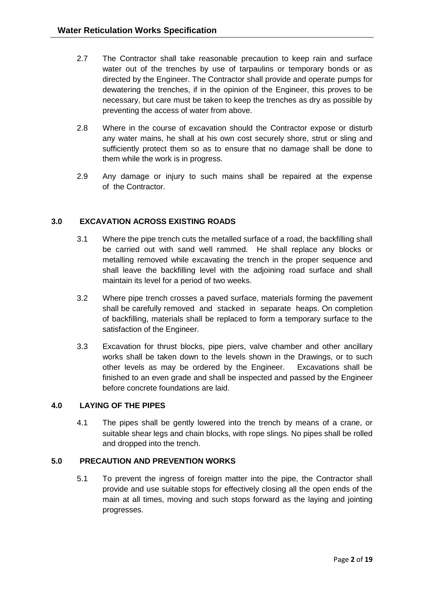- 2.7 The Contractor shall take reasonable precaution to keep rain and surface water out of the trenches by use of tarpaulins or temporary bonds or as directed by the Engineer. The Contractor shall provide and operate pumps for dewatering the trenches, if in the opinion of the Engineer, this proves to be necessary, but care must be taken to keep the trenches as dry as possible by preventing the access of water from above.
- 2.8 Where in the course of excavation should the Contractor expose or disturb any water mains, he shall at his own cost securely shore, strut or sling and sufficiently protect them so as to ensure that no damage shall be done to them while the work is in progress.
- 2.9 Any damage or injury to such mains shall be repaired at the expense of the Contractor.

# **3.0 EXCAVATION ACROSS EXISTING ROADS**

- 3.1 Where the pipe trench cuts the metalled surface of a road, the backfilling shall be carried out with sand well rammed. He shall replace any blocks or metalling removed while excavating the trench in the proper sequence and shall leave the backfilling level with the adjoining road surface and shall maintain its level for a period of two weeks.
- 3.2 Where pipe trench crosses a paved surface, materials forming the pavement shall be carefully removed and stacked in separate heaps. On completion of backfilling, materials shall be replaced to form a temporary surface to the satisfaction of the Engineer.
- 3.3 Excavation for thrust blocks, pipe piers, valve chamber and other ancillary works shall be taken down to the levels shown in the Drawings, or to such other levels as may be ordered by the Engineer. Excavations shall be finished to an even grade and shall be inspected and passed by the Engineer before concrete foundations are laid.

## **4.0 LAYING OF THE PIPES**

4.1 The pipes shall be gently lowered into the trench by means of a crane, or suitable shear legs and chain blocks, with rope slings. No pipes shall be rolled and dropped into the trench.

## **5.0 PRECAUTION AND PREVENTION WORKS**

5.1 To prevent the ingress of foreign matter into the pipe, the Contractor shall provide and use suitable stops for effectively closing all the open ends of the main at all times, moving and such stops forward as the laying and jointing progresses.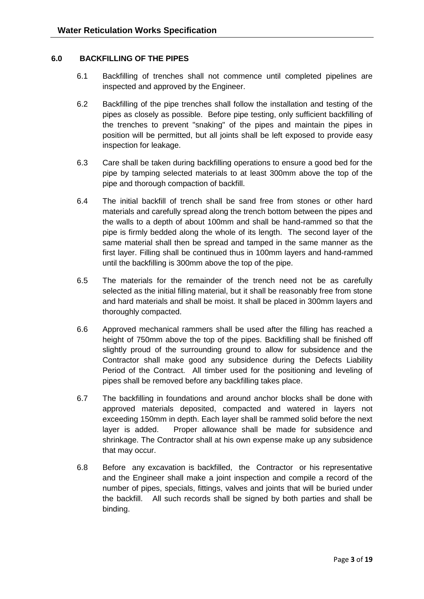### **6.0 BACKFILLING OF THE PIPES**

- 6.1 Backfilling of trenches shall not commence until completed pipelines are inspected and approved by the Engineer.
- 6.2 Backfilling of the pipe trenches shall follow the installation and testing of the pipes as closely as possible. Before pipe testing, only sufficient backfilling of the trenches to prevent "snaking" of the pipes and maintain the pipes in position will be permitted, but all joints shall be left exposed to provide easy inspection for leakage.
- 6.3 Care shall be taken during backfilling operations to ensure a good bed for the pipe by tamping selected materials to at least 300mm above the top of the pipe and thorough compaction of backfill.
- 6.4 The initial backfill of trench shall be sand free from stones or other hard materials and carefully spread along the trench bottom between the pipes and the walls to a depth of about 100mm and shall be hand-rammed so that the pipe is firmly bedded along the whole of its length. The second layer of the same material shall then be spread and tamped in the same manner as the first layer. Filling shall be continued thus in 100mm layers and hand-rammed until the backfilling is 300mm above the top of the pipe.
- 6.5 The materials for the remainder of the trench need not be as carefully selected as the initial filling material, but it shall be reasonably free from stone and hard materials and shall be moist. It shall be placed in 300mm layers and thoroughly compacted.
- 6.6 Approved mechanical rammers shall be used after the filling has reached a height of 750mm above the top of the pipes. Backfilling shall be finished off slightly proud of the surrounding ground to allow for subsidence and the Contractor shall make good any subsidence during the Defects Liability Period of the Contract. All timber used for the positioning and leveling of pipes shall be removed before any backfilling takes place.
- 6.7 The backfilling in foundations and around anchor blocks shall be done with approved materials deposited, compacted and watered in layers not exceeding 150mm in depth. Each layer shall be rammed solid before the next layer is added. Proper allowance shall be made for subsidence and shrinkage. The Contractor shall at his own expense make up any subsidence that may occur.
- 6.8 Before any excavation is backfilled, the Contractor or his representative and the Engineer shall make a joint inspection and compile a record of the number of pipes, specials, fittings, valves and joints that will be buried under the backfill. All such records shall be signed by both parties and shall be binding.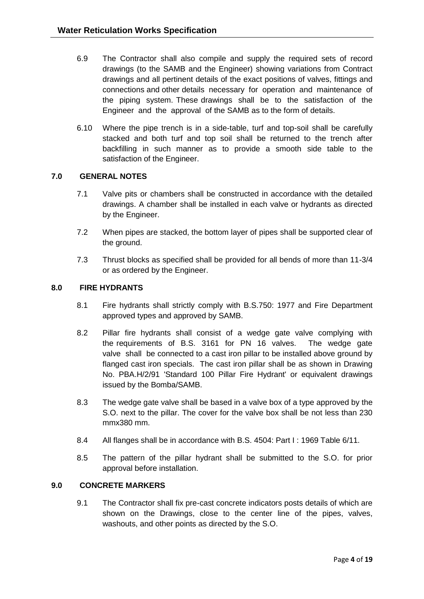- 6.9 The Contractor shall also compile and supply the required sets of record drawings (to the SAMB and the Engineer) showing variations from Contract drawings and all pertinent details of the exact positions of valves, fittings and connections and other details necessary for operation and maintenance of the piping system. These drawings shall be to the satisfaction of the Engineer and the approval of the SAMB as to the form of details.
- 6.10 Where the pipe trench is in a side-table, turf and top-soil shall be carefully stacked and both turf and top soil shall be returned to the trench after backfilling in such manner as to provide a smooth side table to the satisfaction of the Engineer.

## **7.0 GENERAL NOTES**

- 7.1 Valve pits or chambers shall be constructed in accordance with the detailed drawings. A chamber shall be installed in each valve or hydrants as directed by the Engineer.
- 7.2 When pipes are stacked, the bottom layer of pipes shall be supported clear of the ground.
- 7.3 Thrust blocks as specified shall be provided for all bends of more than 11-3/4 or as ordered by the Engineer.

### **8.0 FIRE HYDRANTS**

- 8.1 Fire hydrants shall strictly comply with B.S.750: 1977 and Fire Department approved types and approved by SAMB.
- 8.2 Pillar fire hydrants shall consist of a wedge gate valve complying with the requirements of B.S. 3161 for PN 16 valves. The wedge gate valve shall be connected to a cast iron pillar to be installed above ground by flanged cast iron specials. The cast iron pillar shall be as shown in Drawing No. PBA.H/2/91 'Standard 100 Pillar Fire Hydrant' or equivalent drawings issued by the Bomba/SAMB.
- 8.3 The wedge gate valve shall be based in a valve box of a type approved by the S.O. next to the pillar. The cover for the valve box shall be not less than 230 mmx380 mm.
- 8.4 All flanges shall be in accordance with B.S. 4504: Part I : 1969 Table 6/11.
- 8.5 The pattern of the pillar hydrant shall be submitted to the S.O. for prior approval before installation.

#### **9.0 CONCRETE MARKERS**

9.1 The Contractor shall fix pre-cast concrete indicators posts details of which are shown on the Drawings, close to the center line of the pipes, valves, washouts, and other points as directed by the S.O.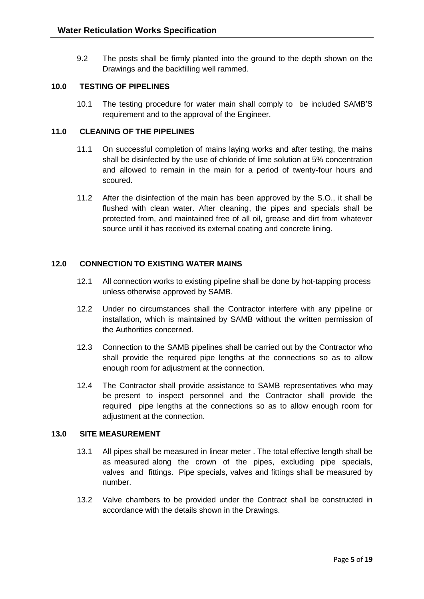9.2 The posts shall be firmly planted into the ground to the depth shown on the Drawings and the backfilling well rammed.

## **10.0 TESTING OF PIPELINES**

10.1 The testing procedure for water main shall comply to be included SAMB'S requirement and to the approval of the Engineer.

## **11.0 CLEANING OF THE PIPELINES**

- 11.1 On successful completion of mains laying works and after testing, the mains shall be disinfected by the use of chloride of lime solution at 5% concentration and allowed to remain in the main for a period of twenty-four hours and scoured.
- 11.2 After the disinfection of the main has been approved by the S.O., it shall be flushed with clean water. After cleaning, the pipes and specials shall be protected from, and maintained free of all oil, grease and dirt from whatever source until it has received its external coating and concrete lining.

# **12.0 CONNECTION TO EXISTING WATER MAINS**

- 12.1 All connection works to existing pipeline shall be done by hot-tapping process unless otherwise approved by SAMB.
- 12.2 Under no circumstances shall the Contractor interfere with any pipeline or installation, which is maintained by SAMB without the written permission of the Authorities concerned.
- 12.3 Connection to the SAMB pipelines shall be carried out by the Contractor who shall provide the required pipe lengths at the connections so as to allow enough room for adjustment at the connection.
- 12.4 The Contractor shall provide assistance to SAMB representatives who may be present to inspect personnel and the Contractor shall provide the required pipe lengths at the connections so as to allow enough room for adjustment at the connection.

## **13.0 SITE MEASUREMENT**

- 13.1 All pipes shall be measured in linear meter . The total effective length shall be as measured along the crown of the pipes, excluding pipe specials, valves and fittings. Pipe specials, valves and fittings shall be measured by number.
- 13.2 Valve chambers to be provided under the Contract shall be constructed in accordance with the details shown in the Drawings.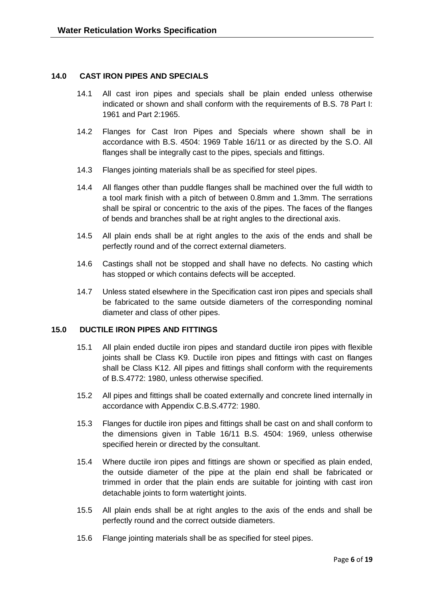### **14.0 CAST IRON PIPES AND SPECIALS**

- 14.1 All cast iron pipes and specials shall be plain ended unless otherwise indicated or shown and shall conform with the requirements of B.S. 78 Part I: 1961 and Part 2:1965.
- 14.2 Flanges for Cast Iron Pipes and Specials where shown shall be in accordance with B.S. 4504: 1969 Table 16/11 or as directed by the S.O. All flanges shall be integrally cast to the pipes, specials and fittings.
- 14.3 Flanges jointing materials shall be as specified for steel pipes.
- 14.4 All flanges other than puddle flanges shall be machined over the full width to a tool mark finish with a pitch of between 0.8mm and 1.3mm. The serrations shall be spiral or concentric to the axis of the pipes. The faces of the flanges of bends and branches shall be at right angles to the directional axis.
- 14.5 All plain ends shall be at right angles to the axis of the ends and shall be perfectly round and of the correct external diameters.
- 14.6 Castings shall not be stopped and shall have no defects. No casting which has stopped or which contains defects will be accepted.
- 14.7 Unless stated elsewhere in the Specification cast iron pipes and specials shall be fabricated to the same outside diameters of the corresponding nominal diameter and class of other pipes.

#### **15.0 DUCTILE IRON PIPES AND FITTINGS**

- 15.1 All plain ended ductile iron pipes and standard ductile iron pipes with flexible joints shall be Class K9. Ductile iron pipes and fittings with cast on flanges shall be Class K12. All pipes and fittings shall conform with the requirements of B.S.4772: 1980, unless otherwise specified.
- 15.2 All pipes and fittings shall be coated externally and concrete lined internally in accordance with Appendix C.B.S.4772: 1980.
- 15.3 Flanges for ductile iron pipes and fittings shall be cast on and shall conform to the dimensions given in Table 16/11 B.S. 4504: 1969, unless otherwise specified herein or directed by the consultant.
- 15.4 Where ductile iron pipes and fittings are shown or specified as plain ended, the outside diameter of the pipe at the plain end shall be fabricated or trimmed in order that the plain ends are suitable for jointing with cast iron detachable joints to form watertight joints.
- 15.5 All plain ends shall be at right angles to the axis of the ends and shall be perfectly round and the correct outside diameters.
- 15.6 Flange jointing materials shall be as specified for steel pipes.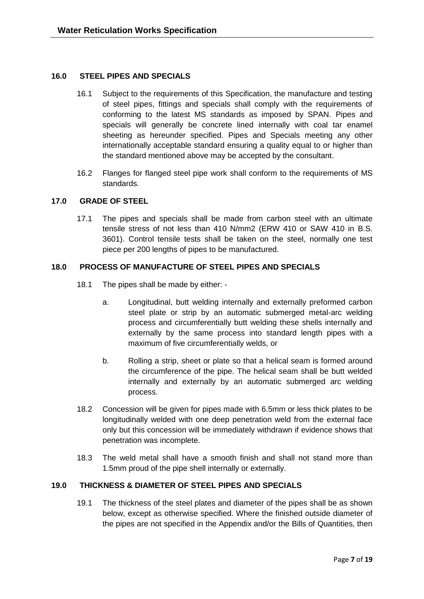### **16.0 STEEL PIPES AND SPECIALS**

- 16.1 Subject to the requirements of this Specification, the manufacture and testing of steel pipes, fittings and specials shall comply with the requirements of conforming to the latest MS standards as imposed by SPAN. Pipes and specials will generally be concrete lined internally with coal tar enamel sheeting as hereunder specified. Pipes and Specials meeting any other internationally acceptable standard ensuring a quality equal to or higher than the standard mentioned above may be accepted by the consultant.
- 16.2 Flanges for flanged steel pipe work shall conform to the requirements of MS standards.

### **17.0 GRADE OF STEEL**

17.1 The pipes and specials shall be made from carbon steel with an ultimate tensile stress of not less than 410 N/mm2 (ERW 410 or SAW 410 in B.S. 3601). Control tensile tests shall be taken on the steel, normally one test piece per 200 lengths of pipes to be manufactured.

### **18.0 PROCESS OF MANUFACTURE OF STEEL PIPES AND SPECIALS**

- 18.1 The pipes shall be made by either:
	- a. Longitudinal, butt welding internally and externally preformed carbon steel plate or strip by an automatic submerged metal-arc welding process and circumferentially butt welding these shells internally and externally by the same process into standard length pipes with a maximum of five circumferentially welds, or
	- b. Rolling a strip, sheet or plate so that a helical seam is formed around the circumference of the pipe. The helical seam shall be butt welded internally and externally by an automatic submerged arc welding process.
- 18.2 Concession will be given for pipes made with 6.5mm or less thick plates to be longitudinally welded with one deep penetration weld from the external face only but this concession will be immediately withdrawn if evidence shows that penetration was incomplete.
- 18.3 The weld metal shall have a smooth finish and shall not stand more than 1.5mm proud of the pipe shell internally or externally.

#### **19.0 THICKNESS & DIAMETER OF STEEL PIPES AND SPECIALS**

19.1 The thickness of the steel plates and diameter of the pipes shall be as shown below, except as otherwise specified. Where the finished outside diameter of the pipes are not specified in the Appendix and/or the Bills of Quantities, then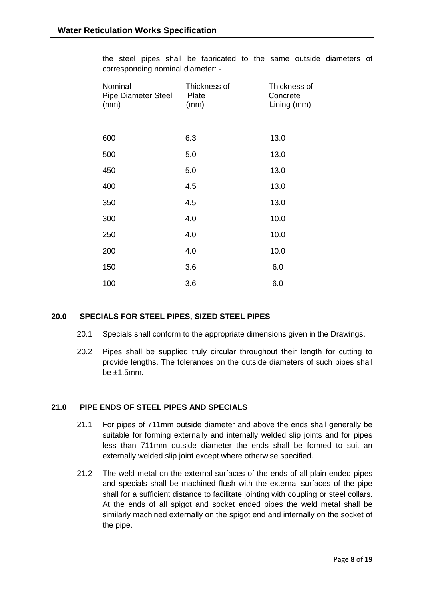the steel pipes shall be fabricated to the same outside diameters of corresponding nominal diameter: -

| Nominal<br><b>Pipe Diameter Steel</b><br>(mm) | Thickness of<br>Plate<br>(mm) | Thickness of<br>Concrete<br>Lining (mm) |
|-----------------------------------------------|-------------------------------|-----------------------------------------|
|                                               |                               |                                         |
| 600                                           | 6.3                           | 13.0                                    |
| 500                                           | 5.0                           | 13.0                                    |
| 450                                           | 5.0                           | 13.0                                    |
| 400                                           | 4.5                           | 13.0                                    |
| 350                                           | 4.5                           | 13.0                                    |
| 300                                           | 4.0                           | 10.0                                    |
| 250                                           | 4.0                           | 10.0                                    |
| 200                                           | 4.0                           | 10.0                                    |
| 150                                           | 3.6                           | 6.0                                     |
| 100                                           | 3.6                           | 6.0                                     |

## **20.0 SPECIALS FOR STEEL PIPES, SIZED STEEL PIPES**

- 20.1 Specials shall conform to the appropriate dimensions given in the Drawings.
- 20.2 Pipes shall be supplied truly circular throughout their length for cutting to provide lengths. The tolerances on the outside diameters of such pipes shall be  $±1.5$ mm.

#### **21.0 PIPE ENDS OF STEEL PIPES AND SPECIALS**

- 21.1 For pipes of 711mm outside diameter and above the ends shall generally be suitable for forming externally and internally welded slip joints and for pipes less than 711mm outside diameter the ends shall be formed to suit an externally welded slip joint except where otherwise specified.
- 21.2 The weld metal on the external surfaces of the ends of all plain ended pipes and specials shall be machined flush with the external surfaces of the pipe shall for a sufficient distance to facilitate jointing with coupling or steel collars. At the ends of all spigot and socket ended pipes the weld metal shall be similarly machined externally on the spigot end and internally on the socket of the pipe.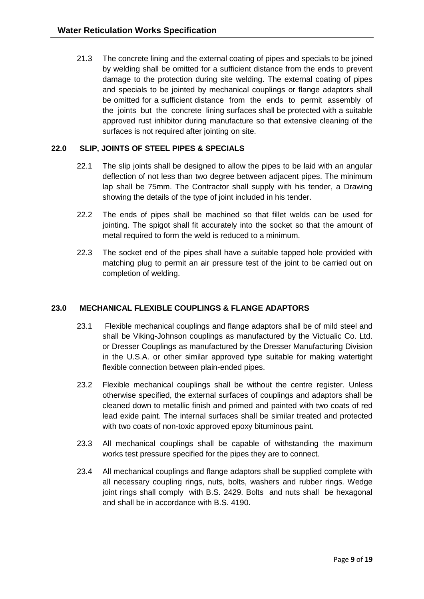21.3 The concrete lining and the external coating of pipes and specials to be joined by welding shall be omitted for a sufficient distance from the ends to prevent damage to the protection during site welding. The external coating of pipes and specials to be jointed by mechanical couplings or flange adaptors shall be omitted for a sufficient distance from the ends to permit assembly of the joints but the concrete lining surfaces shall be protected with a suitable approved rust inhibitor during manufacture so that extensive cleaning of the surfaces is not required after jointing on site.

# **22.0 SLIP, JOINTS OF STEEL PIPES & SPECIALS**

- 22.1 The slip joints shall be designed to allow the pipes to be laid with an angular deflection of not less than two degree between adjacent pipes. The minimum lap shall be 75mm. The Contractor shall supply with his tender, a Drawing showing the details of the type of joint included in his tender.
- 22.2 The ends of pipes shall be machined so that fillet welds can be used for jointing. The spigot shall fit accurately into the socket so that the amount of metal required to form the weld is reduced to a minimum.
- 22.3 The socket end of the pipes shall have a suitable tapped hole provided with matching plug to permit an air pressure test of the joint to be carried out on completion of welding.

# **23.0 MECHANICAL FLEXIBLE COUPLINGS & FLANGE ADAPTORS**

- 23.1 Flexible mechanical couplings and flange adaptors shall be of mild steel and shall be Viking-Johnson couplings as manufactured by the Victualic Co. Ltd. or Dresser Couplings as manufactured by the Dresser Manufacturing Division in the U.S.A. or other similar approved type suitable for making watertight flexible connection between plain-ended pipes.
- 23.2 Flexible mechanical couplings shall be without the centre register. Unless otherwise specified, the external surfaces of couplings and adaptors shall be cleaned down to metallic finish and primed and painted with two coats of red lead exide paint. The internal surfaces shall be similar treated and protected with two coats of non-toxic approved epoxy bituminous paint.
- 23.3 All mechanical couplings shall be capable of withstanding the maximum works test pressure specified for the pipes they are to connect.
- 23.4 All mechanical couplings and flange adaptors shall be supplied complete with all necessary coupling rings, nuts, bolts, washers and rubber rings. Wedge joint rings shall comply with B.S. 2429. Bolts and nuts shall be hexagonal and shall be in accordance with B.S. 4190.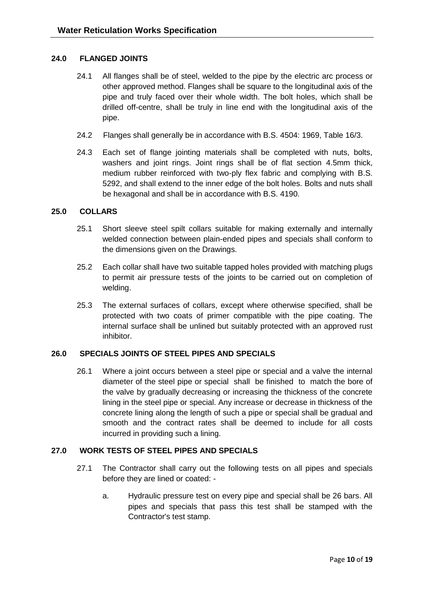## **24.0 FLANGED JOINTS**

- 24.1 All flanges shall be of steel, welded to the pipe by the electric arc process or other approved method. Flanges shall be square to the longitudinal axis of the pipe and truly faced over their whole width. The bolt holes, which shall be drilled off-centre, shall be truly in line end with the longitudinal axis of the pipe.
- 24.2 Flanges shall generally be in accordance with B.S. 4504: 1969, Table 16/3.
- 24.3 Each set of flange jointing materials shall be completed with nuts, bolts, washers and joint rings. Joint rings shall be of flat section 4.5mm thick, medium rubber reinforced with two-ply flex fabric and complying with B.S. 5292, and shall extend to the inner edge of the bolt holes. Bolts and nuts shall be hexagonal and shall be in accordance with B.S. 4190.

### **25.0 COLLARS**

- 25.1 Short sleeve steel spilt collars suitable for making externally and internally welded connection between plain-ended pipes and specials shall conform to the dimensions given on the Drawings.
- 25.2 Each collar shall have two suitable tapped holes provided with matching plugs to permit air pressure tests of the joints to be carried out on completion of welding.
- 25.3 The external surfaces of collars, except where otherwise specified, shall be protected with two coats of primer compatible with the pipe coating. The internal surface shall be unlined but suitably protected with an approved rust inhibitor.

## **26.0 SPECIALS JOINTS OF STEEL PIPES AND SPECIALS**

26.1 Where a joint occurs between a steel pipe or special and a valve the internal diameter of the steel pipe or special shall be finished to match the bore of the valve by gradually decreasing or increasing the thickness of the concrete lining in the steel pipe or special. Any increase or decrease in thickness of the concrete lining along the length of such a pipe or special shall be gradual and smooth and the contract rates shall be deemed to include for all costs incurred in providing such a lining.

## **27.0 WORK TESTS OF STEEL PIPES AND SPECIALS**

- 27.1 The Contractor shall carry out the following tests on all pipes and specials before they are lined or coated:
	- a. Hydraulic pressure test on every pipe and special shall be 26 bars. All pipes and specials that pass this test shall be stamped with the Contractor's test stamp.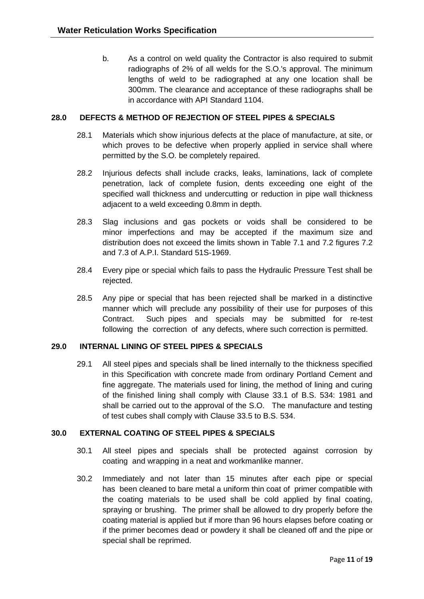b. As a control on weld quality the Contractor is also required to submit radiographs of 2% of all welds for the S.O.'s approval. The minimum lengths of weld to be radiographed at any one location shall be 300mm. The clearance and acceptance of these radiographs shall be in accordance with API Standard 1104.

## **28.0 DEFECTS & METHOD OF REJECTION OF STEEL PIPES & SPECIALS**

- 28.1 Materials which show injurious defects at the place of manufacture, at site, or which proves to be defective when properly applied in service shall where permitted by the S.O. be completely repaired.
- 28.2 Injurious defects shall include cracks, leaks, laminations, lack of complete penetration, lack of complete fusion, dents exceeding one eight of the specified wall thickness and undercutting or reduction in pipe wall thickness adjacent to a weld exceeding 0.8mm in depth.
- 28.3 Slag inclusions and gas pockets or voids shall be considered to be minor imperfections and may be accepted if the maximum size and distribution does not exceed the limits shown in Table 7.1 and 7.2 figures 7.2 and 7.3 of A.P.I. Standard 51S-1969.
- 28.4 Every pipe or special which fails to pass the Hydraulic Pressure Test shall be rejected.
- 28.5 Any pipe or special that has been rejected shall be marked in a distinctive manner which will preclude any possibility of their use for purposes of this Contract. Such pipes and specials may be submitted for re-test following the correction of any defects, where such correction is permitted.

## **29.0 INTERNAL LINING OF STEEL PIPES & SPECIALS**

29.1 All steel pipes and specials shall be lined internally to the thickness specified in this Specification with concrete made from ordinary Portland Cement and fine aggregate. The materials used for lining, the method of lining and curing of the finished lining shall comply with Clause 33.1 of B.S. 534: 1981 and shall be carried out to the approval of the S.O. The manufacture and testing of test cubes shall comply with Clause 33.5 to B.S. 534.

## **30.0 EXTERNAL COATING OF STEEL PIPES & SPECIALS**

- 30.1 All steel pipes and specials shall be protected against corrosion by coating and wrapping in a neat and workmanlike manner.
- 30.2 Immediately and not later than 15 minutes after each pipe or special has been cleaned to bare metal a uniform thin coat of primer compatible with the coating materials to be used shall be cold applied by final coating, spraying or brushing. The primer shall be allowed to dry properly before the coating material is applied but if more than 96 hours elapses before coating or if the primer becomes dead or powdery it shall be cleaned off and the pipe or special shall be reprimed.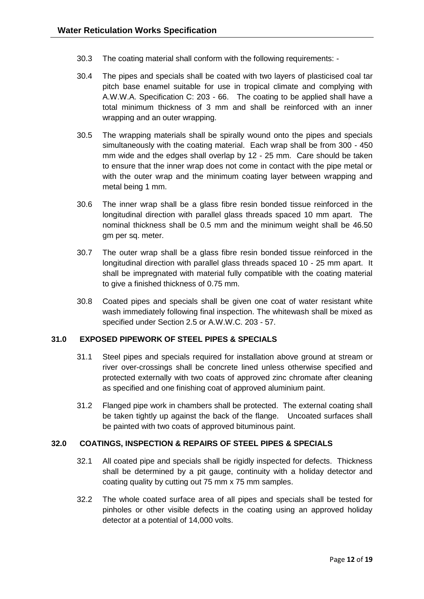- 30.3 The coating material shall conform with the following requirements: -
- 30.4 The pipes and specials shall be coated with two layers of plasticised coal tar pitch base enamel suitable for use in tropical climate and complying with A.W.W.A. Specification C: 203 - 66. The coating to be applied shall have a total minimum thickness of 3 mm and shall be reinforced with an inner wrapping and an outer wrapping.
- 30.5 The wrapping materials shall be spirally wound onto the pipes and specials simultaneously with the coating material. Each wrap shall be from 300 - 450 mm wide and the edges shall overlap by 12 - 25 mm. Care should be taken to ensure that the inner wrap does not come in contact with the pipe metal or with the outer wrap and the minimum coating layer between wrapping and metal being 1 mm.
- 30.6 The inner wrap shall be a glass fibre resin bonded tissue reinforced in the longitudinal direction with parallel glass threads spaced 10 mm apart. The nominal thickness shall be 0.5 mm and the minimum weight shall be 46.50 gm per sq. meter.
- 30.7 The outer wrap shall be a glass fibre resin bonded tissue reinforced in the longitudinal direction with parallel glass threads spaced 10 - 25 mm apart. It shall be impregnated with material fully compatible with the coating material to give a finished thickness of 0.75 mm.
- 30.8 Coated pipes and specials shall be given one coat of water resistant white wash immediately following final inspection. The whitewash shall be mixed as specified under Section 2.5 or A.W.W.C. 203 - 57.

## **31.0 EXPOSED PIPEWORK OF STEEL PIPES & SPECIALS**

- 31.1 Steel pipes and specials required for installation above ground at stream or river over-crossings shall be concrete lined unless otherwise specified and protected externally with two coats of approved zinc chromate after cleaning as specified and one finishing coat of approved aluminium paint.
- 31.2 Flanged pipe work in chambers shall be protected. The external coating shall be taken tightly up against the back of the flange. Uncoated surfaces shall be painted with two coats of approved bituminous paint.

## **32.0 COATINGS, INSPECTION & REPAIRS OF STEEL PIPES & SPECIALS**

- 32.1 All coated pipe and specials shall be rigidly inspected for defects. Thickness shall be determined by a pit gauge, continuity with a holiday detector and coating quality by cutting out 75 mm x 75 mm samples.
- 32.2 The whole coated surface area of all pipes and specials shall be tested for pinholes or other visible defects in the coating using an approved holiday detector at a potential of 14,000 volts.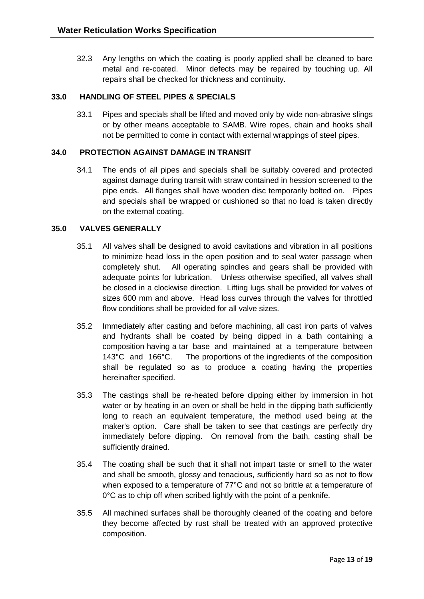32.3 Any lengths on which the coating is poorly applied shall be cleaned to bare metal and re-coated. Minor defects may be repaired by touching up. All repairs shall be checked for thickness and continuity.

# **33.0 HANDLING OF STEEL PIPES & SPECIALS**

33.1 Pipes and specials shall be lifted and moved only by wide non-abrasive slings or by other means acceptable to SAMB. Wire ropes, chain and hooks shall not be permitted to come in contact with external wrappings of steel pipes.

## **34.0 PROTECTION AGAINST DAMAGE IN TRANSIT**

34.1 The ends of all pipes and specials shall be suitably covered and protected against damage during transit with straw contained in hession screened to the pipe ends. All flanges shall have wooden disc temporarily bolted on. Pipes and specials shall be wrapped or cushioned so that no load is taken directly on the external coating.

## **35.0 VALVES GENERALLY**

- 35.1 All valves shall be designed to avoid cavitations and vibration in all positions to minimize head loss in the open position and to seal water passage when completely shut. All operating spindles and gears shall be provided with adequate points for lubrication. Unless otherwise specified, all valves shall be closed in a clockwise direction. Lifting lugs shall be provided for valves of sizes 600 mm and above. Head loss curves through the valves for throttled flow conditions shall be provided for all valve sizes.
- 35.2 Immediately after casting and before machining, all cast iron parts of valves and hydrants shall be coated by being dipped in a bath containing a composition having a tar base and maintained at a temperature between 143°C and 166°C. The proportions of the ingredients of the composition shall be regulated so as to produce a coating having the properties hereinafter specified.
- 35.3 The castings shall be re-heated before dipping either by immersion in hot water or by heating in an oven or shall be held in the dipping bath sufficiently long to reach an equivalent temperature, the method used being at the maker's option. Care shall be taken to see that castings are perfectly dry immediately before dipping. On removal from the bath, casting shall be sufficiently drained.
- 35.4 The coating shall be such that it shall not impart taste or smell to the water and shall be smooth, glossy and tenacious, sufficiently hard so as not to flow when exposed to a temperature of 77°C and not so brittle at a temperature of 0°C as to chip off when scribed lightly with the point of a penknife.
- 35.5 All machined surfaces shall be thoroughly cleaned of the coating and before they become affected by rust shall be treated with an approved protective composition.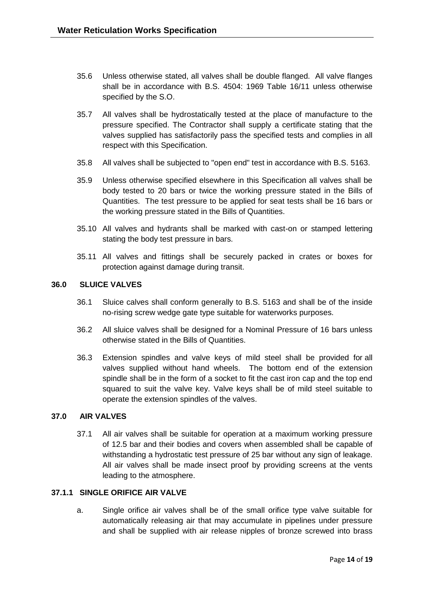- 35.6 Unless otherwise stated, all valves shall be double flanged. All valve flanges shall be in accordance with B.S. 4504: 1969 Table 16/11 unless otherwise specified by the S.O.
- 35.7 All valves shall be hydrostatically tested at the place of manufacture to the pressure specified. The Contractor shall supply a certificate stating that the valves supplied has satisfactorily pass the specified tests and complies in all respect with this Specification.
- 35.8 All valves shall be subjected to "open end" test in accordance with B.S. 5163.
- 35.9 Unless otherwise specified elsewhere in this Specification all valves shall be body tested to 20 bars or twice the working pressure stated in the Bills of Quantities. The test pressure to be applied for seat tests shall be 16 bars or the working pressure stated in the Bills of Quantities.
- 35.10 All valves and hydrants shall be marked with cast-on or stamped lettering stating the body test pressure in bars.
- 35.11 All valves and fittings shall be securely packed in crates or boxes for protection against damage during transit.

### **36.0 SLUICE VALVES**

- 36.1 Sluice calves shall conform generally to B.S. 5163 and shall be of the inside no-rising screw wedge gate type suitable for waterworks purposes.
- 36.2 All sluice valves shall be designed for a Nominal Pressure of 16 bars unless otherwise stated in the Bills of Quantities.
- 36.3 Extension spindles and valve keys of mild steel shall be provided for all valves supplied without hand wheels. The bottom end of the extension spindle shall be in the form of a socket to fit the cast iron cap and the top end squared to suit the valve key. Valve keys shall be of mild steel suitable to operate the extension spindles of the valves.

## **37.0 AIR VALVES**

37.1 All air valves shall be suitable for operation at a maximum working pressure of 12.5 bar and their bodies and covers when assembled shall be capable of withstanding a hydrostatic test pressure of 25 bar without any sign of leakage. All air valves shall be made insect proof by providing screens at the vents leading to the atmosphere.

#### **37.1.1 SINGLE ORIFICE AIR VALVE**

a. Single orifice air valves shall be of the small orifice type valve suitable for automatically releasing air that may accumulate in pipelines under pressure and shall be supplied with air release nipples of bronze screwed into brass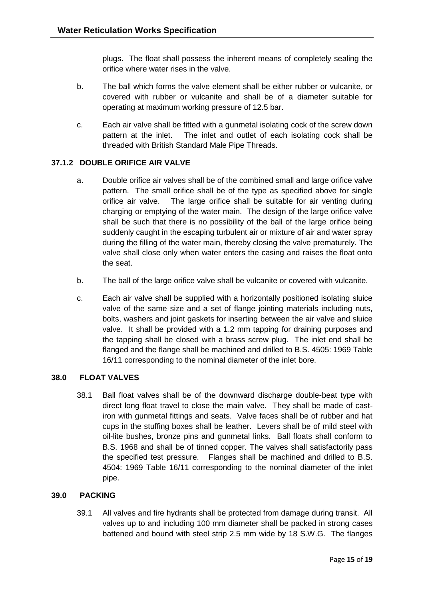plugs. The float shall possess the inherent means of completely sealing the orifice where water rises in the valve.

- b. The ball which forms the valve element shall be either rubber or vulcanite, or covered with rubber or vulcanite and shall be of a diameter suitable for operating at maximum working pressure of 12.5 bar.
- c. Each air valve shall be fitted with a gunmetal isolating cock of the screw down pattern at the inlet. The inlet and outlet of each isolating cock shall be threaded with British Standard Male Pipe Threads.

# **37.1.2 DOUBLE ORIFICE AIR VALVE**

- a. Double orifice air valves shall be of the combined small and large orifice valve pattern. The small orifice shall be of the type as specified above for single orifice air valve. The large orifice shall be suitable for air venting during charging or emptying of the water main. The design of the large orifice valve shall be such that there is no possibility of the ball of the large orifice being suddenly caught in the escaping turbulent air or mixture of air and water spray during the filling of the water main, thereby closing the valve prematurely. The valve shall close only when water enters the casing and raises the float onto the seat.
- b. The ball of the large orifice valve shall be vulcanite or covered with vulcanite.
- c. Each air valve shall be supplied with a horizontally positioned isolating sluice valve of the same size and a set of flange jointing materials including nuts, bolts, washers and joint gaskets for inserting between the air valve and sluice valve. It shall be provided with a 1.2 mm tapping for draining purposes and the tapping shall be closed with a brass screw plug. The inlet end shall be flanged and the flange shall be machined and drilled to B.S. 4505: 1969 Table 16/11 corresponding to the nominal diameter of the inlet bore.

## **38.0 FLOAT VALVES**

38.1 Ball float valves shall be of the downward discharge double-beat type with direct long float travel to close the main valve. They shall be made of castiron with gunmetal fittings and seats. Valve faces shall be of rubber and hat cups in the stuffing boxes shall be leather. Levers shall be of mild steel with oil-lite bushes, bronze pins and gunmetal links. Ball floats shall conform to B.S. 1968 and shall be of tinned copper. The valves shall satisfactorily pass the specified test pressure. Flanges shall be machined and drilled to B.S. 4504: 1969 Table 16/11 corresponding to the nominal diameter of the inlet pipe.

## **39.0 PACKING**

39.1 All valves and fire hydrants shall be protected from damage during transit. All valves up to and including 100 mm diameter shall be packed in strong cases battened and bound with steel strip 2.5 mm wide by 18 S.W.G. The flanges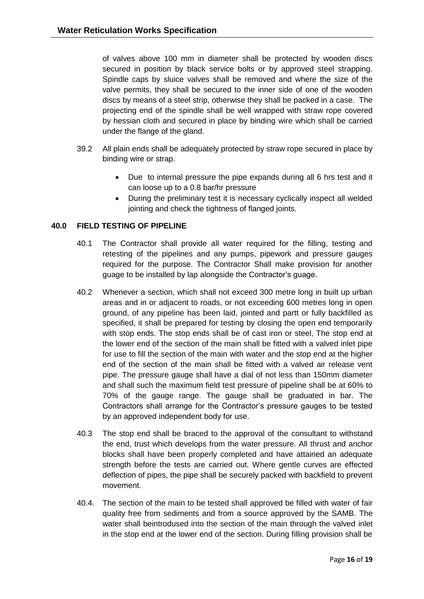of valves above 100 mm in diameter shall be protected by wooden discs secured in position by black service bolts or by approved steel strapping. Spindle caps by sluice valves shall be removed and where the size of the valve permits, they shall be secured to the inner side of one of the wooden discs by means of a steel strip, otherwise they shall be packed in a case. The projecting end of the spindle shall be well wrapped with straw rope covered by hessian cloth and secured in place by binding wire which shall be carried under the flange of the gland.

- 39.2 All plain ends shall be adequately protected by straw rope secured in place by binding wire or strap.
	- Due to internal pressure the pipe expands during all 6 hrs test and it can loose up to a 0.8 bar/hr pressure
	- During the preliminary test it is necessary cyclically inspect all welded jointing and check the tightness of flanged joints.

## **40.0 FIELD TESTING OF PIPELINE**

- 40.1 The Contractor shall provide all water required for the filling, testing and retesting of the pipelines and any pumps, pipework and pressure gauges required for the purpose. The Contractor Shall make provision for another guage to be installed by lap alongside the Contractor's guage.
- 40.2 Whenever a section, which shall not exceed 300 metre long in built up urban areas and in or adjacent to roads, or not exceeding 600 metres long in open ground, of any pipeline has been laid, jointed and partt or fully backfilled as specified, it shall be prepared for testing by closing the open end temporarily with stop ends. The stop ends shall be of cast iron or steel, The stop end at the lower end of the section of the main shall be fitted with a valved inlet pipe for use to fill the section of the main with water and the stop end at the higher end of the section of the main shall be fitted with a valved air release vent pipe. The pressure gauge shall have a dial of not less than 150mm diameter and shall such the maximum field test pressure of pipeline shall be at 60% to 70% of the gauge range. The gauge shall be graduated in bar. The Contractors shall arrange for the Contractor's pressure gauges to be tested by an approved independent body for use.
- 40.3 The stop end shall be braced to the approval of the consultant to withstand the end, trust which develops from the water pressure. All thrust and anchor blocks shall have been properly completed and have attained an adequate strength before the tests are carried out. Where gentle curves are effected deflection of pipes, the pipe shall be securely packed with backfield to prevent movement.
- 40.4. The section of the main to be tested shall approved be filled with water of fair quality free from sediments and from a source approved by the SAMB. The water shall beintrodused into the section of the main through the valved inlet in the stop end at the lower end of the section. During filling provision shall be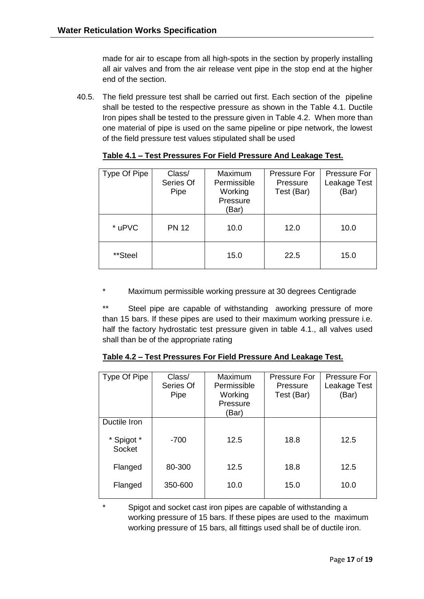made for air to escape from all high-spots in the section by properly installing all air valves and from the air release vent pipe in the stop end at the higher end of the section.

40.5. The field pressure test shall be carried out first. Each section of the pipeline shall be tested to the respective pressure as shown in the Table 4.1. Ductile Iron pipes shall be tested to the pressure given in Table 4.2. When more than one material of pipe is used on the same pipeline or pipe network, the lowest of the field pressure test values stipulated shall be used

| Type Of Pipe | Class/<br>Series Of<br>Pipe | Maximum<br>Permissible<br>Working<br>Pressure<br>(Bar) | <b>Pressure For</b><br>Pressure<br>Test (Bar) | Pressure For<br>Leakage Test<br>(Bar) |
|--------------|-----------------------------|--------------------------------------------------------|-----------------------------------------------|---------------------------------------|
| * uPVC       | <b>PN 12</b>                | 10.0                                                   | 12.0                                          | 10.0                                  |
| **Steel      |                             | 15.0                                                   | 22.5                                          | 15.0                                  |

**Table 4.1 – Test Pressures For Field Pressure And Leakage Test.**

Maximum permissible working pressure at 30 degrees Centigrade

\*\* Steel pipe are capable of withstanding aworking pressure of more than 15 bars. If these pipes are used to their maximum working pressure i.e. half the factory hydrostatic test pressure given in table 4.1., all valves used shall than be of the appropriate rating

|--|

| Type Of Pipe         | Class/<br>Series Of<br>Pipe | Maximum<br>Permissible<br>Working<br>Pressure<br>(Bar) | <b>Pressure For</b><br>Pressure<br>Test (Bar) | <b>Pressure For</b><br>Leakage Test<br>(Bar) |
|----------------------|-----------------------------|--------------------------------------------------------|-----------------------------------------------|----------------------------------------------|
|                      |                             |                                                        |                                               |                                              |
| Ductile Iron         |                             |                                                        |                                               |                                              |
| * Spigot *<br>Socket | $-700$                      | 12.5                                                   | 18.8                                          | 12.5                                         |
| Flanged              | 80-300                      | 12.5                                                   | 18.8                                          | 12.5                                         |
| Flanged              | 350-600                     | 10.0                                                   | 15.0                                          | 10.0                                         |

Spigot and socket cast iron pipes are capable of withstanding a working pressure of 15 bars. If these pipes are used to the maximum working pressure of 15 bars, all fittings used shall be of ductile iron.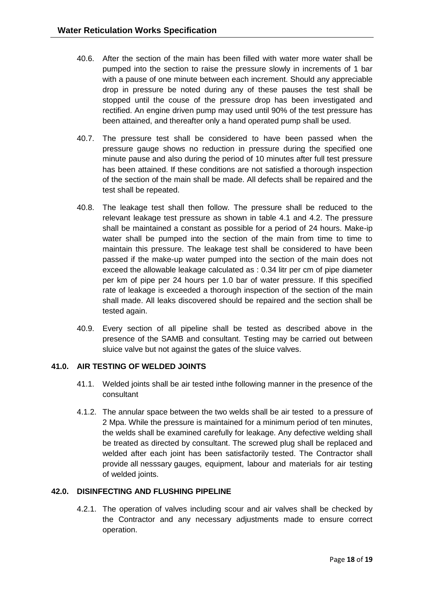- 40.6. After the section of the main has been filled with water more water shall be pumped into the section to raise the pressure slowly in increments of 1 bar with a pause of one minute between each increment. Should any appreciable drop in pressure be noted during any of these pauses the test shall be stopped until the couse of the pressure drop has been investigated and rectified. An engine driven pump may used until 90% of the test pressure has been attained, and thereafter only a hand operated pump shall be used.
- 40.7. The pressure test shall be considered to have been passed when the pressure gauge shows no reduction in pressure during the specified one minute pause and also during the period of 10 minutes after full test pressure has been attained. If these conditions are not satisfied a thorough inspection of the section of the main shall be made. All defects shall be repaired and the test shall be repeated.
- 40.8. The leakage test shall then follow. The pressure shall be reduced to the relevant leakage test pressure as shown in table 4.1 and 4.2. The pressure shall be maintained a constant as possible for a period of 24 hours. Make-ip water shall be pumped into the section of the main from time to time to maintain this pressure. The leakage test shall be considered to have been passed if the make-up water pumped into the section of the main does not exceed the allowable leakage calculated as : 0.34 litr per cm of pipe diameter per km of pipe per 24 hours per 1.0 bar of water pressure. If this specified rate of leakage is exceeded a thorough inspection of the section of the main shall made. All leaks discovered should be repaired and the section shall be tested again.
- 40.9. Every section of all pipeline shall be tested as described above in the presence of the SAMB and consultant. Testing may be carried out between sluice valve but not against the gates of the sluice valves.

## **41.0. AIR TESTING OF WELDED JOINTS**

- 41.1. Welded joints shall be air tested inthe following manner in the presence of the consultant
- 4.1.2. The annular space between the two welds shall be air tested to a pressure of 2 Mpa. While the pressure is maintained for a minimum period of ten minutes, the welds shall be examined carefully for leakage. Any defective welding shall be treated as directed by consultant. The screwed plug shall be replaced and welded after each joint has been satisfactorily tested. The Contractor shall provide all nesssary gauges, equipment, labour and materials for air testing of welded joints.

#### **42.0. DISINFECTING AND FLUSHING PIPELINE**

4.2.1. The operation of valves including scour and air valves shall be checked by the Contractor and any necessary adjustments made to ensure correct operation.